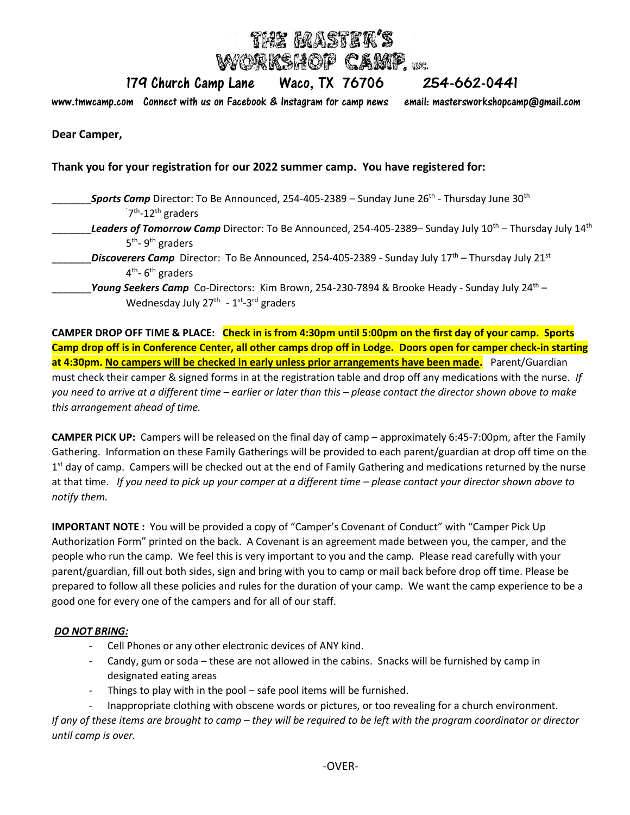# THE MASTER'S WORKSHOP CAMP.

179 Church Camp Lane Waco, TX 76706 254-662-0441

[www.tmwcamp.com](http://www.tmwcamp.com/) Connect with us on Facebook & Instagram for camp news email: mastersworkshopcamp@gmail.com

**Dear Camper,**

#### **Thank you for your registration for our 2022 summer camp. You have registered for:**

\_\_\_\_\_\_\_\_\_**Sports Camp** Director: To Be Announced, 254-405-2389 – Sunday June 26<sup>th</sup> - Thursday June 30<sup>th</sup> `7<sup>th</sup>-12<sup>th</sup> graders \_\_\_\_\_\_\_*Leaders of Tomorrow Camp* Director: To Be Announced, 254-405-2389– Sunday July 10 th – Thursday July 14 th 5<sup>th</sup>- 9<sup>th</sup> graders \_\_\_\_\_\_\_\_\_Discoverers Camp Director: To Be Announced, 254-405-2389 - Sunday July 17<sup>th</sup> – Thursday July 21<sup>st</sup> 4<sup>th</sup>- 6<sup>th</sup> graders \_\_\_\_\_\_\_\_**Young Seekers Camp** Co-Directors: Kim Brown, 254-230-7894 & Brooke Heady - Sunday July 24<sup>th</sup> – Wednesday July 27<sup>th</sup> - 1<sup>st</sup>-3<sup>rd</sup> graders

**CAMPER DROP OFF TIME & PLACE: Check in is from 4:30pm until 5:00pm on the first day of your camp. Sports Camp drop off is in Conference Center, all other camps drop off in Lodge. Doors open for camper check-in starting at 4:30pm. No campers will be checked in early unless prior arrangements have been made.** Parent/Guardian must check their camper & signed forms in at the registration table and drop off any medications with the nurse. *If you need to arrive at a different time – earlier or later than this – please contact the director shown above to make this arrangement ahead of time.*

**CAMPER PICK UP:** Campers will be released on the final day of camp – approximately 6:45-7:00pm, after the Family Gathering. Information on these Family Gatherings will be provided to each parent/guardian at drop off time on the 1<sup>st</sup> day of camp. Campers will be checked out at the end of Family Gathering and medications returned by the nurse at that time. *If you need to pick up your camper at a different time – please contact your director shown above to notify them.*

**IMPORTANT NOTE :** You will be provided a copy of "Camper's Covenant of Conduct" with "Camper Pick Up Authorization Form" printed on the back. A Covenant is an agreement made between you, the camper, and the people who run the camp. We feel this is very important to you and the camp. Please read carefully with your parent/guardian, fill out both sides, sign and bring with you to camp or mail back before drop off time. Please be prepared to follow all these policies and rules for the duration of your camp. We want the camp experience to be a good one for every one of the campers and for all of our staff.

#### *DO NOT BRING:*

- Cell Phones or any other electronic devices of ANY kind.
- Candy, gum or soda these are not allowed in the cabins. Snacks will be furnished by camp in designated eating areas
- Things to play with in the pool safe pool items will be furnished.
- Inappropriate clothing with obscene words or pictures, or too revealing for a church environment.

*If any of these items are brought to camp – they will be required to be left with the program coordinator or director until camp is over.*